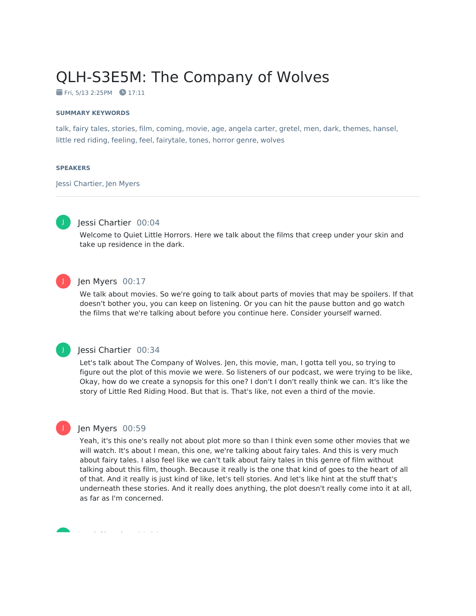# QLH-S3E5M: The Company of Wolves

 $Fri. 5/13 2:25PM$  17:11

#### **SUMMARY KEYWORDS**

talk, fairy tales, stories, film, coming, movie, age, angela carter, gretel, men, dark, themes, hansel, little red riding, feeling, feel, fairytale, tones, horror genre, wolves

#### **SPEAKERS**

Jessi Chartier, Jen Myers



## Jessi Chartier 00:04

Welcome to Quiet Little Horrors. Here we talk about the films that creep under your skin and take up residence in the dark.



## Jen Myers 00:17

We talk about movies. So we're going to talk about parts of movies that may be spoilers. If that doesn't bother you, you can keep on listening. Or you can hit the pause button and go watch the films that we're talking about before you continue here. Consider yourself warned.

## J

J

#### Jessi Chartier 00:34

Let's talk about The Company of Wolves. Jen, this movie, man, I gotta tell you, so trying to figure out the plot of this movie we were. So listeners of our podcast, we were trying to be like, Okay, how do we create a synopsis for this one? I don't I don't really think we can. It's like the story of Little Red Riding Hood. But that is. That's like, not even a third of the movie.

## Jen Myers 00:59

Yeah, it's this one's really not about plot more so than I think even some other movies that we will watch. It's about I mean, this one, we're talking about fairy tales. And this is very much about fairy tales. I also feel like we can't talk about fairy tales in this genre of film without talking about this film, though. Because it really is the one that kind of goes to the heart of all of that. And it really is just kind of like, let's tell stories. And let's like hint at the stuff that's underneath these stories. And it really does anything, the plot doesn't really come into it at all, as far as I'm concerned.

Jessi Chartier 01:38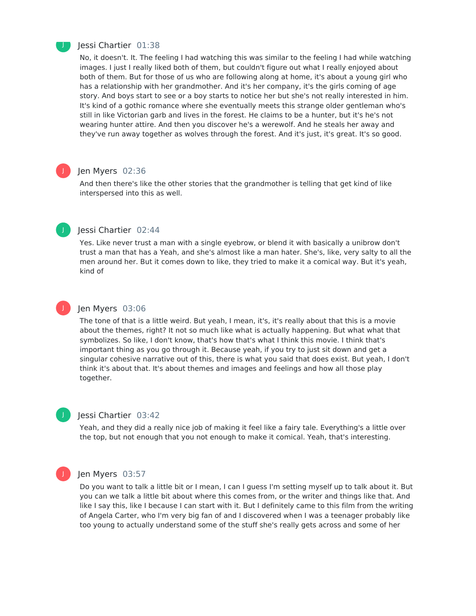

#### Jessi Chartier 01:38

No, it doesn't. It. The feeling I had watching this was similar to the feeling I had while watching images. I just I really liked both of them, but couldn't figure out what I really enjoyed about both of them. But for those of us who are following along at home, it's about a young girl who has a relationship with her grandmother. And it's her company, it's the girls coming of age story. And boys start to see or a boy starts to notice her but she's not really interested in him. It's kind of a gothic romance where she eventually meets this strange older gentleman who's still in like Victorian garb and lives in the forest. He claims to be a hunter, but it's he's not wearing hunter attire. And then you discover he's a werewolf. And he steals her away and they've run away together as wolves through the forest. And it's just, it's great. It's so good.

## Jen Myers 02:36

And then there's like the other stories that the grandmother is telling that get kind of like interspersed into this as well.



J

## Jessi Chartier 02:44

Yes. Like never trust a man with a single eyebrow, or blend it with basically a unibrow don't trust a man that has a Yeah, and she's almost like a man hater. She's, like, very salty to all the men around her. But it comes down to like, they tried to make it a comical way. But it's yeah, kind of



## Jen Myers 03:06

The tone of that is a little weird. But yeah, I mean, it's, it's really about that this is a movie about the themes, right? It not so much like what is actually happening. But what what that symbolizes. So like, I don't know, that's how that's what I think this movie. I think that's important thing as you go through it. Because yeah, if you try to just sit down and get a singular cohesive narrative out of this, there is what you said that does exist. But yeah, I don't think it's about that. It's about themes and images and feelings and how all those play together.



#### Jessi Chartier 03:42

Yeah, and they did a really nice job of making it feel like a fairy tale. Everything's a little over the top, but not enough that you not enough to make it comical. Yeah, that's interesting.



#### Jen Myers 03:57

Do you want to talk a little bit or I mean, I can I guess I'm setting myself up to talk about it. But you can we talk a little bit about where this comes from, or the writer and things like that. And like I say this, like I because I can start with it. But I definitely came to this film from the writing of Angela Carter, who I'm very big fan of and I discovered when I was a teenager probably like too young to actually understand some of the stuff she's really gets across and some of her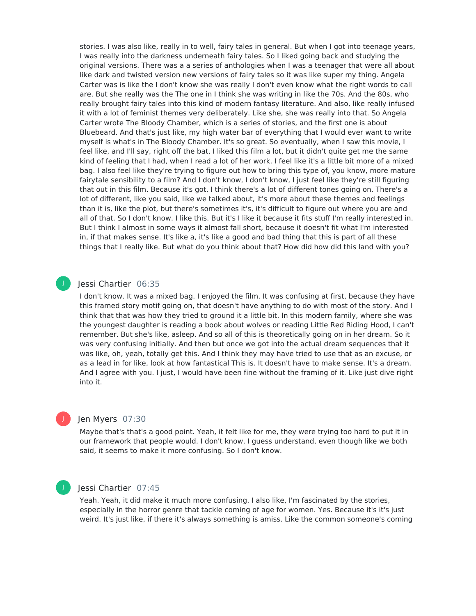stories. I was also like, really in to well, fairy tales in general. But when I got into teenage years, I was really into the darkness underneath fairy tales. So I liked going back and studying the original versions. There was a a series of anthologies when I was a teenager that were all about like dark and twisted version new versions of fairy tales so it was like super my thing. Angela Carter was is like the I don't know she was really I don't even know what the right words to call are. But she really was the The one in I think she was writing in like the 70s. And the 80s, who really brought fairy tales into this kind of modern fantasy literature. And also, like really infused it with a lot of feminist themes very deliberately. Like she, she was really into that. So Angela Carter wrote The Bloody Chamber, which is a series of stories, and the first one is about Bluebeard. And that's just like, my high water bar of everything that I would ever want to write myself is what's in The Bloody Chamber. It's so great. So eventually, when I saw this movie, I feel like, and I'll say, right off the bat, I liked this film a lot, but it didn't quite get me the same kind of feeling that I had, when I read a lot of her work. I feel like it's a little bit more of a mixed bag. I also feel like they're trying to figure out how to bring this type of, you know, more mature fairytale sensibility to a film? And I don't know, I don't know, I just feel like they're still figuring that out in this film. Because it's got, I think there's a lot of different tones going on. There's a lot of different, like you said, like we talked about, it's more about these themes and feelings than it is, like the plot, but there's sometimes it's, it's difficult to figure out where you are and all of that. So I don't know. I like this. But it's I like it because it fits stuff I'm really interested in. But I think I almost in some ways it almost fall short, because it doesn't fit what I'm interested in, if that makes sense. It's like a, it's like a good and bad thing that this is part of all these things that I really like. But what do you think about that? How did how did this land with you?

## Jessi Chartier 06:35

I don't know. It was a mixed bag. I enjoyed the film. It was confusing at first, because they have this framed story motif going on, that doesn't have anything to do with most of the story. And I think that that was how they tried to ground it a little bit. In this modern family, where she was the youngest daughter is reading a book about wolves or reading Little Red Riding Hood, I can't remember. But she's like, asleep. And so all of this is theoretically going on in her dream. So it was very confusing initially. And then but once we got into the actual dream sequences that it was like, oh, yeah, totally get this. And I think they may have tried to use that as an excuse, or as a lead in for like, look at how fantastical This is. It doesn't have to make sense. It's a dream. And I agree with you. I just, I would have been fine without the framing of it. Like just dive right into it.

## Jen Myers 07:30

Maybe that's that's a good point. Yeah, it felt like for me, they were trying too hard to put it in our framework that people would. I don't know, I guess understand, even though like we both said, it seems to make it more confusing. So I don't know.



J

J

#### Iessi Chartier 07:45

Yeah. Yeah, it did make it much more confusing. I also like, I'm fascinated by the stories, especially in the horror genre that tackle coming of age for women. Yes. Because it's it's just weird. It's just like, if there it's always something is amiss. Like the common someone's coming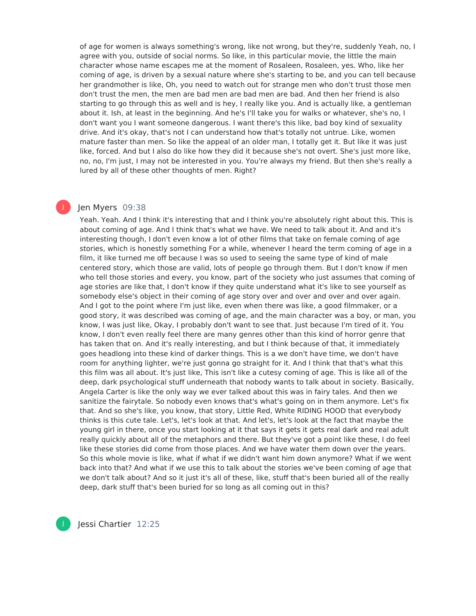of age for women is always something's wrong, like not wrong, but they're, suddenly Yeah, no, I agree with you, outside of social norms. So like, in this particular movie, the little the main character whose name escapes me at the moment of Rosaleen, Rosaleen, yes. Who, like her coming of age, is driven by a sexual nature where she's starting to be, and you can tell because her grandmother is like, Oh, you need to watch out for strange men who don't trust those men don't trust the men, the men are bad men are bad men are bad. And then her friend is also starting to go through this as well and is hey, I really like you. And is actually like, a gentleman about it. Ish, at least in the beginning. And he's I'll take you for walks or whatever, she's no, I don't want you I want someone dangerous. I want there's this like, bad boy kind of sexuality drive. And it's okay, that's not I can understand how that's totally not untrue. Like, women mature faster than men. So like the appeal of an older man, I totally get it. But like it was just like, forced. And but I also do like how they did it because she's not overt. She's just more like, no, no, I'm just, I may not be interested in you. You're always my friend. But then she's really a lured by all of these other thoughts of men. Right?

## Jen Myers 09:38

J

Yeah. Yeah. And I think it's interesting that and I think you're absolutely right about this. This is about coming of age. And I think that's what we have. We need to talk about it. And and it's interesting though, I don't even know a lot of other films that take on female coming of age stories, which is honestly something For a while, whenever I heard the term coming of age in a film, it like turned me off because I was so used to seeing the same type of kind of male centered story, which those are valid, lots of people go through them. But I don't know if men who tell those stories and every, you know, part of the society who just assumes that coming of age stories are like that, I don't know if they quite understand what it's like to see yourself as somebody else's object in their coming of age story over and over and over and over again. And I got to the point where I'm just like, even when there was like, a good filmmaker, or a good story, it was described was coming of age, and the main character was a boy, or man, you know, I was just like, Okay, I probably don't want to see that. Just because I'm tired of it. You know, I don't even really feel there are many genres other than this kind of horror genre that has taken that on. And it's really interesting, and but I think because of that, it immediately goes headlong into these kind of darker things. This is a we don't have time, we don't have room for anything lighter, we're just gonna go straight for it. And I think that that's what this this film was all about. It's just like, This isn't like a cutesy coming of age. This is like all of the deep, dark psychological stuff underneath that nobody wants to talk about in society. Basically, Angela Carter is like the only way we ever talked about this was in fairy tales. And then we sanitize the fairytale. So nobody even knows that's what's going on in them anymore. Let's fix that. And so she's like, you know, that story, Little Red, White RIDING HOOD that everybody thinks is this cute tale. Let's, let's look at that. And let's, let's look at the fact that maybe the young girl in there, once you start looking at it that says it gets it gets real dark and real adult really quickly about all of the metaphors and there. But they've got a point like these, I do feel like these stories did come from those places. And we have water them down over the years. So this whole movie is like, what if what if we didn't want him down anymore? What if we went back into that? And what if we use this to talk about the stories we've been coming of age that we don't talk about? And so it just it's all of these, like, stuff that's been buried all of the really deep, dark stuff that's been buried for so long as all coming out in this?

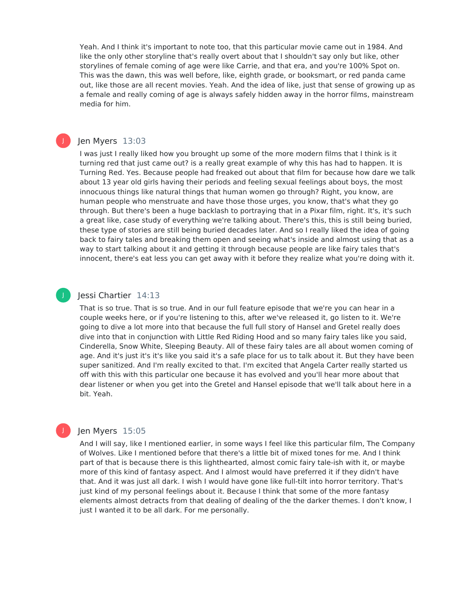Yeah. And I think it's important to note too, that this particular movie came out in 1984. And like the only other storyline that's really overt about that I shouldn't say only but like, other storylines of female coming of age were like Carrie, and that era, and you're 100% Spot on. This was the dawn, this was well before, like, eighth grade, or booksmart, or red panda came out, like those are all recent movies. Yeah. And the idea of like, just that sense of growing up as a female and really coming of age is always safely hidden away in the horror films, mainstream media for him.

## Jen Myers 13:03

J

J

I was just I really liked how you brought up some of the more modern films that I think is it turning red that just came out? is a really great example of why this has had to happen. It is Turning Red. Yes. Because people had freaked out about that film for because how dare we talk about 13 year old girls having their periods and feeling sexual feelings about boys, the most innocuous things like natural things that human women go through? Right, you know, are human people who menstruate and have those those urges, you know, that's what they go through. But there's been a huge backlash to portraying that in a Pixar film, right. It's, it's such a great like, case study of everything we're talking about. There's this, this is still being buried, these type of stories are still being buried decades later. And so I really liked the idea of going back to fairy tales and breaking them open and seeing what's inside and almost using that as a way to start talking about it and getting it through because people are like fairy tales that's innocent, there's eat less you can get away with it before they realize what you're doing with it.

## Jessi Chartier 14:13

That is so true. That is so true. And in our full feature episode that we're you can hear in a couple weeks here, or if you're listening to this, after we've released it, go listen to it. We're going to dive a lot more into that because the full full story of Hansel and Gretel really does dive into that in conjunction with Little Red Riding Hood and so many fairy tales like you said, Cinderella, Snow White, Sleeping Beauty. All of these fairy tales are all about women coming of age. And it's just it's it's like you said it's a safe place for us to talk about it. But they have been super sanitized. And I'm really excited to that. I'm excited that Angela Carter really started us off with this with this particular one because it has evolved and you'll hear more about that dear listener or when you get into the Gretel and Hansel episode that we'll talk about here in a bit. Yeah.

### Jen Myers 15:05

And I will say, like I mentioned earlier, in some ways I feel like this particular film, The Company of Wolves. Like I mentioned before that there's a little bit of mixed tones for me. And I think part of that is because there is this lighthearted, almost comic fairy tale-ish with it, or maybe more of this kind of fantasy aspect. And I almost would have preferred it if they didn't have that. And it was just all dark. I wish I would have gone like full-tilt into horror territory. That's just kind of my personal feelings about it. Because I think that some of the more fantasy elements almost detracts from that dealing of dealing of the the darker themes. I don't know, I just I wanted it to be all dark. For me personally.